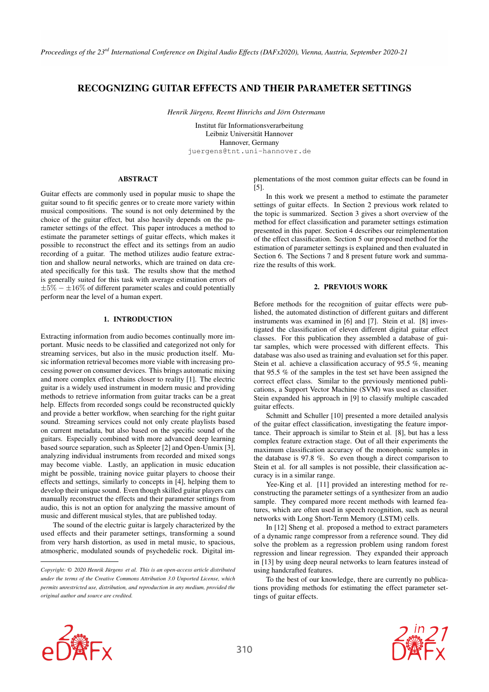# RECOGNIZING GUITAR EFFECTS AND THEIR PARAMETER SETTINGS

*Henrik Jürgens, Reemt Hinrichs and Jörn Ostermann*

[Institut für Informationsverarbeitung](https://www.tnt.uni-hannover.de/) Leibniz Universität Hannover Hannover, Germany [juergens@tnt.uni-hannover.de](mailto:juergens@tnt.uni-hannover.de)

## ABSTRACT

Guitar effects are commonly used in popular music to shape the guitar sound to fit specific genres or to create more variety within musical compositions. The sound is not only determined by the choice of the guitar effect, but also heavily depends on the parameter settings of the effect. This paper introduces a method to estimate the parameter settings of guitar effects, which makes it possible to reconstruct the effect and its settings from an audio recording of a guitar. The method utilizes audio feature extraction and shallow neural networks, which are trained on data created specifically for this task. The results show that the method is generally suited for this task with average estimation errors of  $\pm 5\%$  –  $\pm 16\%$  of different parameter scales and could potentially perform near the level of a human expert.

## 1. INTRODUCTION

Extracting information from audio becomes continually more important. Music needs to be classified and categorized not only for streaming services, but also in the music production itself. Music information retrieval becomes more viable with increasing processing power on consumer devices. This brings automatic mixing and more complex effect chains closer to reality [\[1\]](#page-5-0). The electric guitar is a widely used instrument in modern music and providing methods to retrieve information from guitar tracks can be a great help. Effects from recorded songs could be reconstructed quickly and provide a better workflow, when searching for the right guitar sound. Streaming services could not only create playlists based on current metadata, but also based on the specific sound of the guitars. Especially combined with more advanced deep learning based source separation, such as Spleeter [\[2\]](#page-5-1) and Open-Unmix [\[3\]](#page-5-2), analyzing individual instruments from recorded and mixed songs may become viable. Lastly, an application in music education might be possible, training novice guitar players to choose their effects and settings, similarly to concepts in [\[4\]](#page-5-3), helping them to develop their unique sound. Even though skilled guitar players can manually reconstruct the effects and their parameter settings from audio, this is not an option for analyzing the massive amount of music and different musical styles, that are published today.

The sound of the electric guitar is largely characterized by the used effects and their parameter settings, transforming a sound from very harsh distortion, as used in metal music, to spacious, atmospheric, modulated sounds of psychedelic rock. Digital implementations of the most common guitar effects can be found in [\[5\]](#page-5-4).

In this work we present a method to estimate the parameter settings of guitar effects. In Section [2](#page-0-0) previous work related to the topic is summarized. Section [3](#page-1-0) gives a short overview of the method for effect classification and parameter settings estimation presented in this paper. Section [4](#page-1-1) describes our reimplementation of the effect classification. Section [5](#page-2-0) our proposed method for the estimation of parameter settings is explained and then evaluated in Section [6.](#page-4-0) The Sections [7](#page-5-5) and [8](#page-5-6) present future work and summarize the results of this work.

## 2. PREVIOUS WORK

<span id="page-0-0"></span>Before methods for the recognition of guitar effects were published, the automated distinction of different guitars and different instruments was examined in [\[6\]](#page-5-7) and [\[7\]](#page-5-8). Stein et al. [\[8\]](#page-5-9) investigated the classification of eleven different digital guitar effect classes. For this publication they assembled a database of guitar samples, which were processed with different effects. This database was also used as training and evaluation set for this paper. Stein et al. achieve a classification accuracy of 95.5 %, meaning that 95.5 % of the samples in the test set have been assigned the correct effect class. Similar to the previously mentioned publications, a Support Vector Machine (SVM) was used as classifier. Stein expanded his approach in [\[9\]](#page-6-0) to classify multiple cascaded guitar effects.

Schmitt and Schuller [\[10\]](#page-6-1) presented a more detailed analysis of the guitar effect classification, investigating the feature importance. Their approach is similar to Stein et al. [\[8\]](#page-5-9), but has a less complex feature extraction stage. Out of all their experiments the maximum classification accuracy of the monophonic samples in the database is 97.8 %. So even though a direct comparison to Stein et al. for all samples is not possible, their classification accuracy is in a similar range.

Yee-King et al. [\[11\]](#page-6-2) provided an interesting method for reconstructing the parameter settings of a synthesizer from an audio sample. They compared more recent methods with learned features, which are often used in speech recognition, such as neural networks with Long Short-Term Memory (LSTM) cells.

In [\[12\]](#page-6-3) Sheng et al. proposed a method to extract parameters of a dynamic range compressor from a reference sound. They did solve the problem as a regression problem using random forest regression and linear regression. They expanded their approach in [\[13\]](#page-6-4) by using deep neural networks to learn features instead of using handcrafted features.

To the best of our knowledge, there are currently no publications providing methods for estimating the effect parameter settings of guitar effects.



*Copyright: © 2020 Henrik Jürgens et al. This is an open-access article distributed under the terms of the [Creative Commons Attribution 3.0 Unported License,](http://creativecommons.org/licenses/by/3.0/) which permits unrestricted use, distribution, and reproduction in any medium, provided the original author and source are credited.*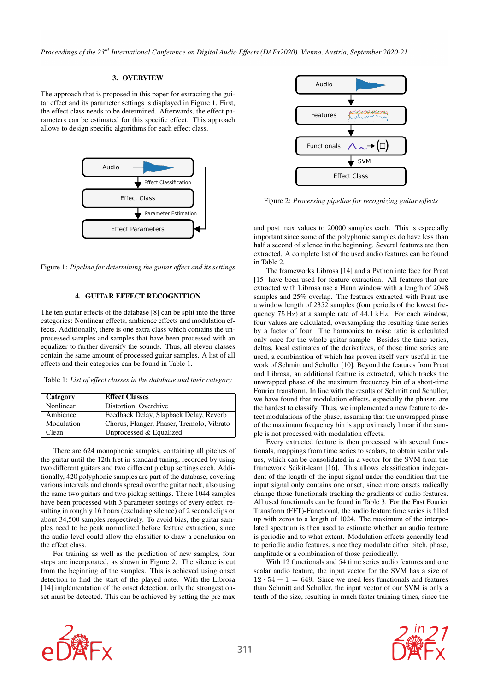Proceedings of the 23<sup>rd</sup> International Conference on Digital Audio Effects (DAFx2020), Vienna, Austria, September 2020-21

### 3. OVERVIEW

<span id="page-1-0"></span>The approach that is proposed in this paper for extracting the guitar effect and its parameter settings is displayed in Figure [1.](#page-1-2) First, the effect class needs to be determined. Afterwards, the effect parameters can be estimated for this specific effect. This approach allows to design specific algorithms for each effect class.

<span id="page-1-2"></span>

Figure 1: *Pipeline for determining the guitar effect and its settings*

## 4. GUITAR EFFECT RECOGNITION

<span id="page-1-1"></span>The ten guitar effects of the database [\[8\]](#page-5-9) can be split into the three categories: Nonlinear effects, ambience effects and modulation effects. Additionally, there is one extra class which contains the unprocessed samples and samples that have been processed with an equalizer to further diversify the sounds. Thus, all eleven classes contain the same amount of processed guitar samples. A list of all effects and their categories can be found in Table [1.](#page-1-3)

Table 1: *List of effect classes in the database and their category*

<span id="page-1-3"></span>

| Category   | <b>Effect Classes</b>                     |
|------------|-------------------------------------------|
| Nonlinear  | Distortion, Overdrive                     |
| Ambience   | Feedback Delay, Slapback Delay, Reverb    |
| Modulation | Chorus, Flanger, Phaser, Tremolo, Vibrato |
| Clean      | Unprocessed & Equalized                   |

There are 624 monophonic samples, containing all pitches of the guitar until the 12th fret in standard tuning, recorded by using two different guitars and two different pickup settings each. Additionally, 420 polyphonic samples are part of the database, covering various intervals and chords spread over the guitar neck, also using the same two guitars and two pickup settings. These 1044 samples have been processed with 3 parameter settings of every effect, resulting in roughly 16 hours (excluding silence) of 2 second clips or about 34,500 samples respectively. To avoid bias, the guitar samples need to be peak normalized before feature extraction, since the audio level could allow the classifier to draw a conclusion on the effect class.

For training as well as the prediction of new samples, four steps are incorporated, as shown in Figure [2.](#page-1-4) The silence is cut from the beginning of the samples. This is achieved using onset detection to find the start of the played note. With the Librosa [\[14\]](#page-6-6) implementation of the onset detection, only the strongest onset must be detected. This can be achieved by setting the pre max

<span id="page-1-4"></span>

Figure 2: *Processing pipeline for recognizing guitar effects*

and post max values to 20000 samples each. This is especially important since some of the polyphonic samples do have less than half a second of silence in the beginning. Several features are then extracted. A complete list of the used audio features can be found in Table [2.](#page-2-1)

The frameworks Librosa [\[14\]](#page-6-6) and a Python interface for Praat [\[15\]](#page-6-7) have been used for feature extraction. All features that are extracted with Librosa use a Hann window with a length of 2048 samples and 25% overlap. The features extracted with Praat use a window length of 2352 samples (four periods of the lowest frequency 75 Hz) at a sample rate of 44.1 kHz. For each window, four values are calculated, oversampling the resulting time series by a factor of four. The harmonics to noise ratio is calculated only once for the whole guitar sample. Besides the time series, deltas, local estimates of the derivatives, of those time series are used, a combination of which has proven itself very useful in the work of Schmitt and Schuller [\[10\]](#page-6-1). Beyond the features from Praat and Librosa, an additional feature is extracted, which tracks the unwrapped phase of the maximum frequency bin of a short-time Fourier transform. In line with the results of Schmitt and Schuller, we have found that modulation effects, especially the phaser, are the hardest to classify. Thus, we implemented a new feature to detect modulations of the phase, assuming that the unwrapped phase of the maximum frequency bin is approximately linear if the sample is not processed with modulation effects.

Every extracted feature is then processed with several functionals, mappings from time series to scalars, to obtain scalar values, which can be consolidated in a vector for the SVM from the framework Scikit-learn [\[16\]](#page-6-8). This allows classification independent of the length of the input signal under the condition that the input signal only contains one onset, since more onsets radically change those functionals tracking the gradients of audio features. All used functionals can be found in Table [3.](#page-2-2) For the Fast Fourier Transform (FFT)-Functional, the audio feature time series is filled up with zeros to a length of 1024. The maximum of the interpolated spectrum is then used to estimate whether an audio feature is periodic and to what extent. Modulation effects generally lead to periodic audio features, since they modulate either pitch, phase, amplitude or a combination of those periodically.

With 12 functionals and 54 time series audio features and one scalar audio feature, the input vector for the SVM has a size of  $12 \cdot 54 + 1 = 649$ . Since we used less functionals and features than Schmitt and Schuller, the input vector of our SVM is only a tenth of the size, resulting in much faster training times, since the



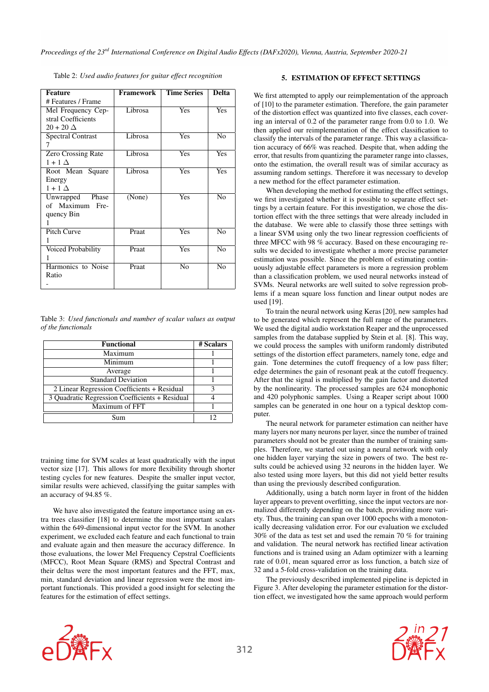<span id="page-2-1"></span>

| <b>Feature</b>           | Framework | <b>Time Series</b> | <b>Delta</b>    |
|--------------------------|-----------|--------------------|-----------------|
| # Features / Frame       |           |                    |                 |
| Mel Frequency Cep-       | Librosa   | Yes                | Yes             |
| stral Coefficients       |           |                    |                 |
| $20+20\Delta$            |           |                    |                 |
| <b>Spectral Contrast</b> | Librosa   | Yes                | N <sub>0</sub>  |
|                          |           |                    |                 |
| Zero Crossing Rate       | Librosa   | Yes                | Yes             |
| $1+1\Delta$              |           |                    |                 |
| Root Mean Square         | Librosa   | Yes                | Yes             |
| Energy                   |           |                    |                 |
| $1+1\Delta$              |           |                    |                 |
| Unwrapped<br>Phase       | (None)    | Yes                | N <sub>0</sub>  |
| of Maximum<br>Fre-       |           |                    |                 |
| quency Bin               |           |                    |                 |
|                          |           |                    |                 |
| Pitch Curve              | Praat     | Yes                | N <sub>0</sub>  |
| 1                        |           |                    |                 |
| Voiced Probability       | Praat     | Yes                | N <sub>0</sub>  |
|                          |           |                    |                 |
| Harmonics to Noise       | Praat     | N <sub>0</sub>     | $\overline{No}$ |
| Ratio                    |           |                    |                 |
|                          |           |                    |                 |

Table 2: *Used audio features for guitar effect recognition*

Table 3: *Used functionals and number of scalar values as output of the functionals*

<span id="page-2-2"></span>

| <b>Functional</b>                              | # Scalars |
|------------------------------------------------|-----------|
| Maximum                                        |           |
| Minimum                                        |           |
| Average                                        |           |
| <b>Standard Deviation</b>                      |           |
| 2 Linear Regression Coefficients + Residual    |           |
| 3 Quadratic Regression Coefficients + Residual |           |
| Maximum of FFT                                 |           |
| Sum                                            |           |

training time for SVM scales at least quadratically with the input vector size [\[17\]](#page-6-9). This allows for more flexibility through shorter testing cycles for new features. Despite the smaller input vector, similar results were achieved, classifying the guitar samples with an accuracy of 94.85 %.

We have also investigated the feature importance using an extra trees classifier [\[18\]](#page-6-10) to determine the most important scalars within the 649-dimensional input vector for the SVM. In another experiment, we excluded each feature and each functional to train and evaluate again and then measure the accuracy difference. In those evaluations, the lower Mel Frequency Cepstral Coefficients (MFCC), Root Mean Square (RMS) and Spectral Contrast and their deltas were the most important features and the FFT, max, min, standard deviation and linear regression were the most important functionals. This provided a good insight for selecting the features for the estimation of effect settings.

## 5. ESTIMATION OF EFFECT SETTINGS

<span id="page-2-0"></span>We first attempted to apply our reimplementation of the approach of [\[10\]](#page-6-1) to the parameter estimation. Therefore, the gain parameter of the distortion effect was quantized into five classes, each covering an interval of 0.2 of the parameter range from 0.0 to 1.0. We then applied our reimplementation of the effect classification to classify the intervals of the parameter range. This way a classification accuracy of 66% was reached. Despite that, when adding the error, that results from quantizing the parameter range into classes, onto the estimation, the overall result was of similar accuracy as assuming random settings. Therefore it was necessary to develop a new method for the effect parameter estimation.

When developing the method for estimating the effect settings, we first investigated whether it is possible to separate effect settings by a certain feature. For this investigation, we chose the distortion effect with the three settings that were already included in the database. We were able to classify those three settings with a linear SVM using only the two linear regression coefficients of three MFCC with 98 % accuracy. Based on these encouraging results we decided to investigate whether a more precise parameter estimation was possible. Since the problem of estimating continuously adjustable effect parameters is more a regression problem than a classification problem, we used neural networks instead of SVMs. Neural networks are well suited to solve regression problems if a mean square loss function and linear output nodes are used [\[19\]](#page-6-11).

To train the neural network using Keras [\[20\]](#page-6-12), new samples had to be generated which represent the full range of the parameters. We used the digital audio workstation Reaper and the unprocessed samples from the database supplied by Stein et al. [\[8\]](#page-5-9). This way, we could process the samples with uniform randomly distributed settings of the distortion effect parameters, namely tone, edge and gain. Tone determines the cutoff frequency of a low pass filter; edge determines the gain of resonant peak at the cutoff frequency. After that the signal is multiplied by the gain factor and distorted by the nonlinearity. The processed samples are 624 monophonic and 420 polyphonic samples. Using a Reaper script about 1000 samples can be generated in one hour on a typical desktop computer.

The neural network for parameter estimation can neither have many layers nor many neurons per layer, since the number of trained parameters should not be greater than the number of training samples. Therefore, we started out using a neural network with only one hidden layer varying the size in powers of two. The best results could be achieved using 32 neurons in the hidden layer. We also tested using more layers, but this did not yield better results than using the previously described configuration.

Additionally, using a batch norm layer in front of the hidden layer appears to prevent overfitting, since the input vectors are normalized differently depending on the batch, providing more variety. Thus, the training can span over 1000 epochs with a monotonically decreasing validation error. For our evaluation we excluded 30% of the data as test set and used the remain 70 % for training and validation. The neural network has rectified linear activation functions and is trained using an Adam optimizer with a learning rate of 0.01, mean squared error as loss function, a batch size of 32 and a 5-fold cross-validation on the training data.

The previously described implemented pipeline is depicted in Figure [3.](#page-3-0) After developing the parameter estimation for the distortion effect, we investigated how the same approach would perform



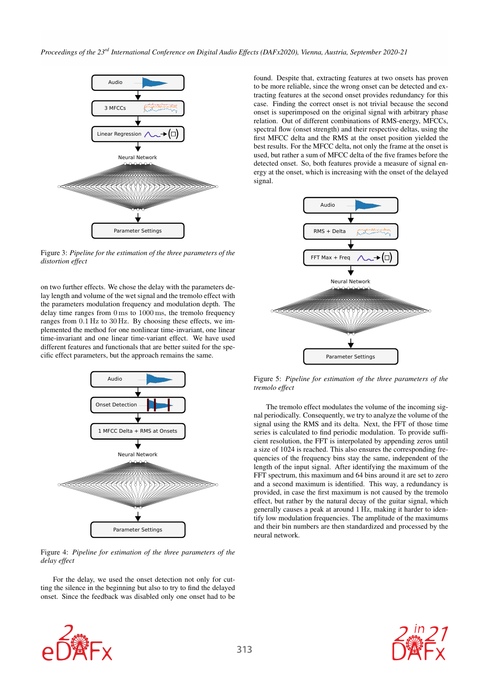<span id="page-3-0"></span>

Figure 3: *Pipeline for the estimation of the three parameters of the distortion effect*

on two further effects. We chose the delay with the parameters delay length and volume of the wet signal and the tremolo effect with the parameters modulation frequency and modulation depth. The delay time ranges from 0 ms to 1000 ms, the tremolo frequency ranges from 0.1 Hz to 30 Hz. By choosing these effects, we implemented the method for one nonlinear time-invariant, one linear time-invariant and one linear time-variant effect. We have used different features and functionals that are better suited for the specific effect parameters, but the approach remains the same.



Figure 4: *Pipeline for estimation of the three parameters of the delay effect*

For the delay, we used the onset detection not only for cutting the silence in the beginning but also to try to find the delayed onset. Since the feedback was disabled only one onset had to be

found. Despite that, extracting features at two onsets has proven to be more reliable, since the wrong onset can be detected and extracting features at the second onset provides redundancy for this case. Finding the correct onset is not trivial because the second onset is superimposed on the original signal with arbitrary phase relation. Out of different combinations of RMS-energy, MFCCs, spectral flow (onset strength) and their respective deltas, using the first MFCC delta and the RMS at the onset position yielded the best results. For the MFCC delta, not only the frame at the onset is used, but rather a sum of MFCC delta of the five frames before the detected onset. So, both features provide a measure of signal energy at the onset, which is increasing with the onset of the delayed signal.



Figure 5: *Pipeline for estimation of the three parameters of the tremolo effect*

The tremolo effect modulates the volume of the incoming signal periodically. Consequently, we try to analyze the volume of the signal using the RMS and its delta. Next, the FFT of those time series is calculated to find periodic modulation. To provide sufficient resolution, the FFT is interpolated by appending zeros until a size of 1024 is reached. This also ensures the corresponding frequencies of the frequency bins stay the same, independent of the length of the input signal. After identifying the maximum of the FFT spectrum, this maximum and 64 bins around it are set to zero and a second maximum is identified. This way, a redundancy is provided, in case the first maximum is not caused by the tremolo effect, but rather by the natural decay of the guitar signal, which generally causes a peak at around 1 Hz, making it harder to identify low modulation frequencies. The amplitude of the maximums and their bin numbers are then standardized and processed by the neural network.



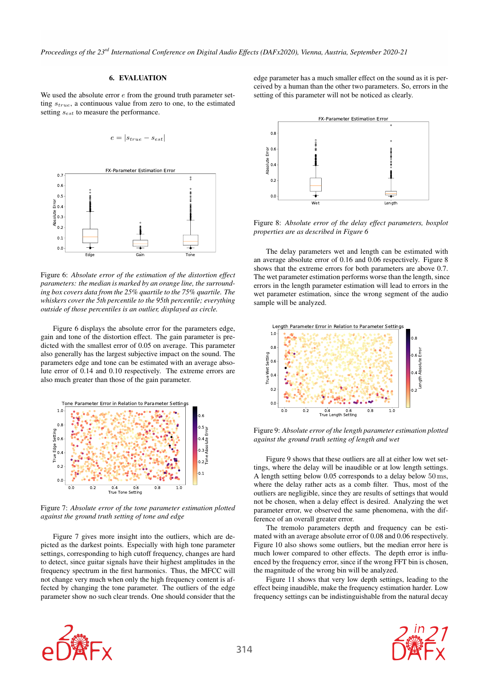<span id="page-4-0"></span>Proceedings of the 23<sup>rd</sup> International Conference on Digital Audio Effects (DAFx2020), Vienna, Austria, September 2020-21

#### 6. EVALUATION

We used the absolute error  $e$  from the ground truth parameter setting  $s_{true}$ , a continuous value from zero to one, to the estimated setting  $s_{est}$  to measure the performance.

$$
e = |s_{true} - s_{est}|
$$

<span id="page-4-1"></span>

Figure 6: *Absolute error of the estimation of the distortion effect parameters: the median is marked by an orange line, the surrounding box covers data from the 25% quartile to the 75% quartile. The whiskers cover the 5th percentile to the 95th percentile; everything outside of those percentiles is an outlier, displayed as circle.*

Figure [6](#page-4-1) displays the absolute error for the parameters edge, gain and tone of the distortion effect. The gain parameter is predicted with the smallest error of 0.05 on average. This parameter also generally has the largest subjective impact on the sound. The parameters edge and tone can be estimated with an average absolute error of 0.14 and 0.10 respectively. The extreme errors are also much greater than those of the gain parameter.

<span id="page-4-2"></span>

Figure 7: *Absolute error of the tone parameter estimation plotted against the ground truth setting of tone and edge*

Figure [7](#page-4-2) gives more insight into the outliers, which are depicted as the darkest points. Especially with high tone parameter settings, corresponding to high cutoff frequency, changes are hard to detect, since guitar signals have their highest amplitudes in the frequency spectrum in the first harmonics. Thus, the MFCC will not change very much when only the high frequency content is affected by changing the tone parameter. The outliers of the edge parameter show no such clear trends. One should consider that the edge parameter has a much smaller effect on the sound as it is perceived by a human than the other two parameters. So, errors in the setting of this parameter will not be noticed as clearly.

<span id="page-4-3"></span>

Figure 8: *Absolute error of the delay effect parameters, boxplot properties are as described in Figure [6](#page-4-1)*

The delay parameters wet and length can be estimated with an average absolute error of 0.16 and 0.06 respectively. Figure [8](#page-4-3) shows that the extreme errors for both parameters are above 0.7. The wet parameter estimation performs worse than the length, since errors in the length parameter estimation will lead to errors in the wet parameter estimation, since the wrong segment of the audio sample will be analyzed.

<span id="page-4-4"></span>

Figure 9: *Absolute error of the length parameter estimation plotted against the ground truth setting of length and wet*

Figure [9](#page-4-4) shows that these outliers are all at either low wet settings, where the delay will be inaudible or at low length settings. A length setting below 0.05 corresponds to a delay below 50 ms, where the delay rather acts as a comb filter. Thus, most of the outliers are negligible, since they are results of settings that would not be chosen, when a delay effect is desired. Analyzing the wet parameter error, we observed the same phenomena, with the difference of an overall greater error.

The tremolo parameters depth and frequency can be estimated with an average absolute error of 0.08 and 0.06 respectively. Figure [10](#page-5-10) also shows some outliers, but the median error here is much lower compared to other effects. The depth error is influenced by the frequency error, since if the wrong FFT bin is chosen, the magnitude of the wrong bin will be analyzed.

Figure [11](#page-5-11) shows that very low depth settings, leading to the effect being inaudible, make the frequency estimation harder. Low frequency settings can be indistinguishable from the natural decay



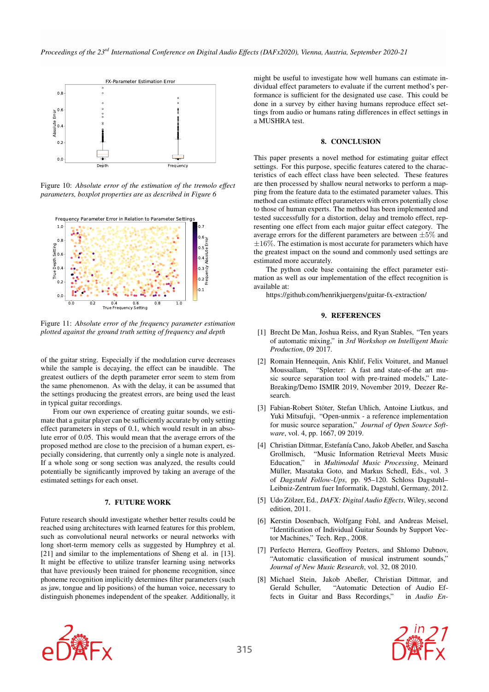<span id="page-5-10"></span>

Figure 10: *Absolute error of the estimation of the tremolo effect parameters, boxplot properties are as described in Figure [6](#page-4-1)*

<span id="page-5-11"></span>

Figure 11: *Absolute error of the frequency parameter estimation plotted against the ground truth setting of frequency and depth*

of the guitar string. Especially if the modulation curve decreases while the sample is decaying, the effect can be inaudible. The greatest outliers of the depth parameter error seem to stem from the same phenomenon. As with the delay, it can be assumed that the settings producing the greatest errors, are being used the least in typical guitar recordings.

From our own experience of creating guitar sounds, we estimate that a guitar player can be sufficiently accurate by only setting effect parameters in steps of 0.1, which would result in an absolute error of 0.05. This would mean that the average errors of the proposed method are close to the precision of a human expert, especially considering, that currently only a single note is analyzed. If a whole song or song section was analyzed, the results could potentially be significantly improved by taking an average of the estimated settings for each onset.

#### 7. FUTURE WORK

<span id="page-5-5"></span>Future research should investigate whether better results could be reached using architectures with learned features for this problem, such as convolutional neural networks or neural networks with long short-term memory cells as suggested by Humphrey et al. [\[21\]](#page-6-13) and similar to the implementations of Sheng et al. in [\[13\]](#page-6-4). It might be effective to utilize transfer learning using networks that have previously been trained for phoneme recognition, since phoneme recognition implicitly determines filter parameters (such as jaw, tongue and lip positions) of the human voice, necessary to distinguish phonemes independent of the speaker. Additionally, it

might be useful to investigate how well humans can estimate individual effect parameters to evaluate if the current method's performance is sufficient for the designated use case. This could be done in a survey by either having humans reproduce effect settings from audio or humans rating differences in effect settings in a MUSHRA test.

### 8. CONCLUSION

<span id="page-5-6"></span>This paper presents a novel method for estimating guitar effect settings. For this purpose, specific features catered to the characteristics of each effect class have been selected. These features are then processed by shallow neural networks to perform a mapping from the feature data to the estimated parameter values. This method can estimate effect parameters with errors potentially close to those of human experts. The method has been implemented and tested successfully for a distortion, delay and tremolo effect, representing one effect from each major guitar effect category. The average errors for the different parameters are between  $\pm 5\%$  and  $\pm 16\%$ . The estimation is most accurate for parameters which have the greatest impact on the sound and commonly used settings are estimated more accurately.

The python code base containing the effect parameter estimation as well as our implementation of the effect recognition is available at:

<https://github.com/henrikjuergens/guitar-fx-extraction/>

### 9. REFERENCES

- <span id="page-5-0"></span>[1] Brecht De Man, Joshua Reiss, and Ryan Stables, "Ten years of automatic mixing," in *3rd Workshop on Intelligent Music Production*, 09 2017.
- <span id="page-5-1"></span>[2] Romain Hennequin, Anis Khlif, Felix Voituret, and Manuel Moussallam, "Spleeter: A fast and state-of-the art music source separation tool with pre-trained models," Late-Breaking/Demo ISMIR 2019, November 2019, Deezer Research.
- <span id="page-5-2"></span>[3] Fabian-Robert Stöter, Stefan Uhlich, Antoine Liutkus, and Yuki Mitsufuji, "Open-unmix - a reference implementation for music source separation," *Journal of Open Source Software*, vol. 4, pp. 1667, 09 2019.
- <span id="page-5-3"></span>[4] Christian Dittmar, Estefanía Cano, Jakob Abeßer, and Sascha Grollmisch, "Music Information Retrieval Meets Music Education," in *Multimodal Music Processing*, Meinard Müller, Masataka Goto, and Markus Schedl, Eds., vol. 3 of *Dagstuhl Follow-Ups*, pp. 95–120. Schloss Dagstuhl– Leibniz-Zentrum fuer Informatik, Dagstuhl, Germany, 2012.
- <span id="page-5-4"></span>[5] Udo Zölzer, Ed., *DAFX: Digital Audio Effects*, Wiley, second edition, 2011.
- <span id="page-5-7"></span>[6] Kerstin Dosenbach, Wolfgang Fohl, and Andreas Meisel, "Identification of Individual Guitar Sounds by Support Vector Machines," Tech. Rep., 2008.
- <span id="page-5-8"></span>[7] Perfecto Herrera, Geoffroy Peeters, and Shlomo Dubnov, "Automatic classification of musical instrument sounds," *Journal of New Music Research*, vol. 32, 08 2010.
- <span id="page-5-9"></span>[8] Michael Stein, Jakob Abeßer, Christian Dittmar, and Gerald Schuller, "Automatic Detection of Audio Effects in Guitar and Bass Recordings," in *Audio En-*